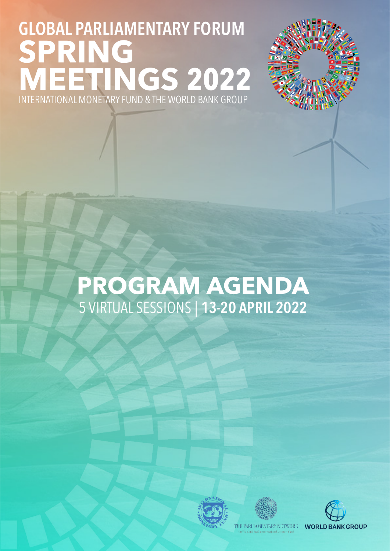

### **PROGRAM AGENDA** 5 VIRTUAL SESSIONS | 13-20 APRIL 2022





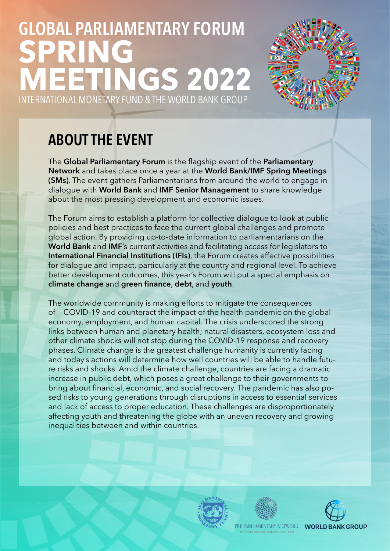

### ABOUT THE EVENT

The Global Parliamentary Forum is the flagship event of the Parliamentary Network and takes place once a year at the World Bank/IMF Spring Meetings (SMs). The event gathers Parliamentarians from around the world to engage in dialogue with World Bank and IMF Senior Management to share knowledge about the most pressing development and economic issues.

The Forum aims to establish a platform for collective dialogue to look at public policies and best practices to face the current global challenges and promote global action. By providing up-to-date information to parliamentarians on the World Bank and IMF's current activities and facilitating access for legislators to International Financial Institutions (IFIs), the Forum creates effective possibilities for dialogue and impact, particularly at the country and regional level. To achieve better development outcomes, this year's Forum will put a special emphasis on climate change and green finance, debt, and youth.

The worldwide community is making efforts to mitigate the consequences of COVID-19 and counteract the impact of the health pandemic on the global economy, employment, and human capital. The crisis underscored the strong links between human and planetary health; natural disasters, ecosystem loss and other climate shocks will not stop during the COVID-19 response and recovery phases. Climate change is the greatest challenge humanity is currently facing and today's actions will determine how well countries will be able to handle future risks and shocks. Amid the climate challenge, countries are facing a dramatic increase in public debt, which poses a great challenge to their governments to bring about financial, economic, and social recovery. The pandemic has also posed risks to young generations through disruptions in access to essential services and lack of access to proper education. These challenges are disproportionately affecting youth and threatening the globe with an uneven recovery and growing inequalities between and within countries.





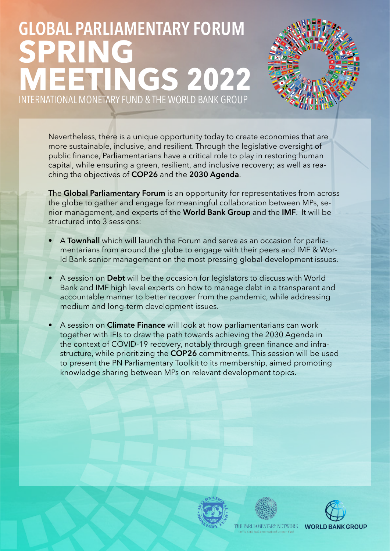

Nevertheless, there is a unique opportunity today to create economies that are more sustainable, inclusive, and resilient. Through the legislative oversight of public finance, Parliamentarians have a critical role to play in restoring human capital, while ensuring a green, resilient, and inclusive recovery; as well as reaching the objectives of COP26 and the 2030 Agenda.

The Global Parliamentary Forum is an opportunity for representatives from across the globe to gather and engage for meaningful collaboration between MPs, senior management, and experts of the World Bank Group and the IMF. It will be structured into 3 sessions:

- A Townhall which will launch the Forum and serve as an occasion for parliamentarians from around the globe to engage with their peers and IMF & World Bank senior management on the most pressing global development issues.
- A session on Debt will be the occasion for legislators to discuss with World Bank and IMF high level experts on how to manage debt in a transparent and accountable manner to better recover from the pandemic, while addressing medium and long-term development issues.
- A session on **Climate Finance** will look at how parliamentarians can work together with IFIs to draw the path towards achieving the 2030 Agenda in the context of COVID-19 recovery, notably through green finance and infrastructure, while prioritizing the **COP26** commitments. This session will be used to present the PN Parliamentary Toolkit to its membership, aimed promoting knowledge sharing between MPs on relevant development topics.





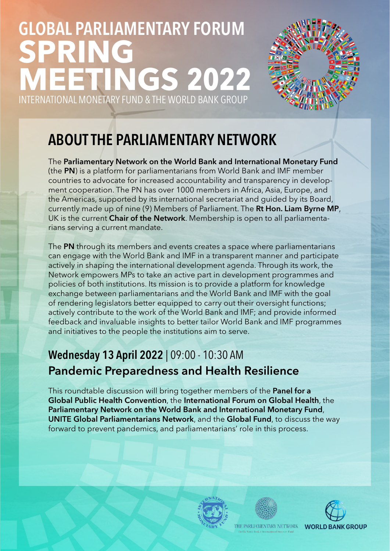

### ABOUT THE PARLIAMENTARY NETWORK

The Parliamentary Network on the World Bank and International Monetary Fund (the PN) is a platform for parliamentarians from World Bank and IMF member countries to advocate for increased accountability and transparency in development cooperation. The PN has over 1000 members in Africa, Asia, Europe, and the Americas, supported by its international secretariat and guided by its Board, currently made up of nine (9) Members of Parliament. The Rt Hon. Liam Byrne MP, UK is the current Chair of the Network. Membership is open to all parliamentarians serving a current mandate.

The PN through its members and events creates a space where parliamentarians can engage with the World Bank and IMF in a transparent manner and participate actively in shaping the international development agenda. Through its work, the Network empowers MPs to take an active part in development programmes and policies of both institutions. Its mission is to provide a platform for knowledge exchange between parliamentarians and the World Bank and IMF with the goal of rendering legislators better equipped to carry out their oversight functions; actively contribute to the work of the World Bank and IMF; and provide informed feedback and invaluable insights to better tailor World Bank and IMF programmes and initiatives to the people the institutions aim to serve.

#### Wednesday 13 April 2022 | 09:00 - 10:30 AM Pandemic Preparedness and Health Resilience

This roundtable discussion will bring together members of the **Panel for a** Global Public Health Convention, the International Forum on Global Health, the Parliamentary Network on the World Bank and International Monetary Fund, UNITE Global Parliamentarians Network, and the Global Fund, to discuss the way forward to prevent pandemics, and parliamentarians' role in this process.





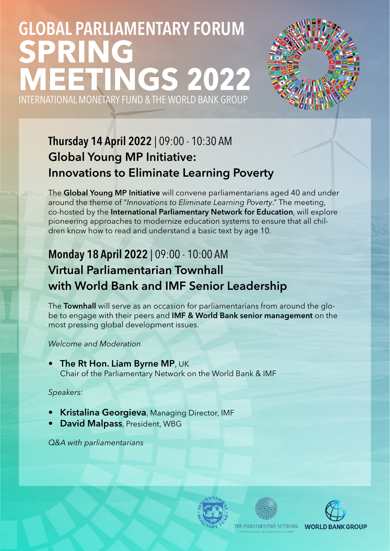

### Thursday 14 April 2022 | 09:00 - 10:30 AM Global Young MP Initiative: Innovations to Eliminate Learning Poverty

The Global Young MP Initiative will convene parliamentarians aged 40 and under around the theme of "*Innovations to Eliminate Learning Poverty*." The meeting, co-hosted by the International Parliamentary Network for Education, will explore pioneering approaches to modernize education systems to ensure that all children know how to read and understand a basic text by age 10.

### Monday 18 April 2022 | 09:00 - 10:00 AM Virtual Parliamentarian Townhall with World Bank and IMF Senior Leadership

The Townhall will serve as an occasion for parliamentarians from around the globe to engage with their peers and IMF & World Bank senior management on the most pressing global development issues.

#### *Welcome and Moderation*

**The Rt Hon. Liam Byrne MP, UK** Chair of the Parliamentary Network on the World Bank & IMF

#### *Speakers:*

- **Kristalina Georgieva, Managing Director, IMF**
- David Malpass, President, WBG

*Q&A with parliamentarians*





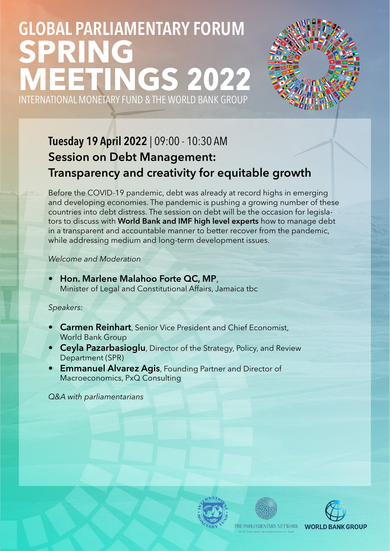

### Tuesday 19 April 2022 | 09:00 - 10:30 AM Session on Debt Management: Transparency and creativity for equitable growth

Before the COVID-19 pandemic, debt was already at record highs in emerging and developing economies. The pandemic is pushing a growing number of these countries into debt distress. The session on debt will be the occasion for legislators to discuss with World Bank and IMF high level experts how to manage debt in a transparent and accountable manner to better recover from the pandemic, while addressing medium and long-term development issues.

*Welcome and Moderation*

• Hon. Marlene Malahoo Forte QC, MP, Minister of Legal and Constitutional Affairs, Jamaica tbc

#### *Speakers:*

- **Carmen Reinhart**, Senior Vice President and Chief Economist, World Bank Group
- Ceyla Pazarbasioglu, Director of the Strategy, Policy, and Review Department (SPR)
- Emmanuel Alvarez Agis, Founding Partner and Director of Macroeconomics, PxQ Consulting

*Q&A with parliamentarians*